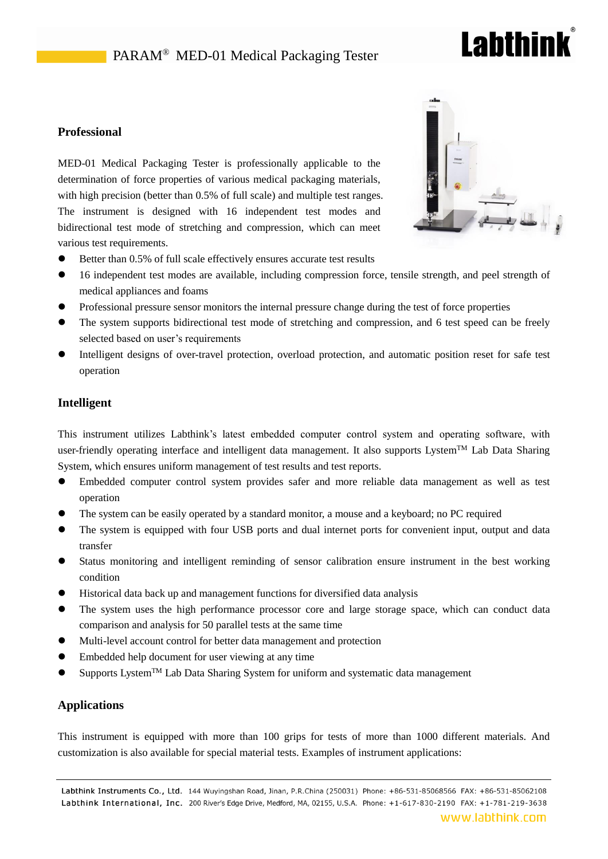# PARAM<sup>®</sup> MED-01 Medical Packaging Tester

# **Labthink**

### **Professional**

MED-01 Medical Packaging Tester is professionally applicable to the determination of force properties of various medical packaging materials, with high precision (better than 0.5% of full scale) and multiple test ranges. The instrument is designed with 16 independent test modes and bidirectional test mode of stretching and compression, which can meet various test requirements.



- Better than 0.5% of full scale effectively ensures accurate test results
- 16 independent test modes are available, including compression force, tensile strength, and peel strength of medical appliances and foams
- Professional pressure sensor monitors the internal pressure change during the test of force properties
- The system supports bidirectional test mode of stretching and compression, and 6 test speed can be freely selected based on user's requirements
- Intelligent designs of over-travel protection, overload protection, and automatic position reset for safe test operation

### **Intelligent**

This instrument utilizes Labthink's latest embedded computer control system and operating software, with user-friendly operating interface and intelligent data management. It also supports Lystem<sup>TM</sup> Lab Data Sharing System, which ensures uniform management of test results and test reports.

- Embedded computer control system provides safer and more reliable data management as well as test operation
- The system can be easily operated by a standard monitor, a mouse and a keyboard; no PC required
- The system is equipped with four USB ports and dual internet ports for convenient input, output and data transfer
- Status monitoring and intelligent reminding of sensor calibration ensure instrument in the best working condition
- Historical data back up and management functions for diversified data analysis
- The system uses the high performance processor core and large storage space, which can conduct data comparison and analysis for 50 parallel tests at the same time
- Multi-level account control for better data management and protection
- Embedded help document for user viewing at any time
- Supports LystemTM Lab Data Sharing System for uniform and systematic data management

#### **Applications**

This instrument is equipped with more than 100 grips for tests of more than 1000 different materials. And customization is also available for special material tests. Examples of instrument applications: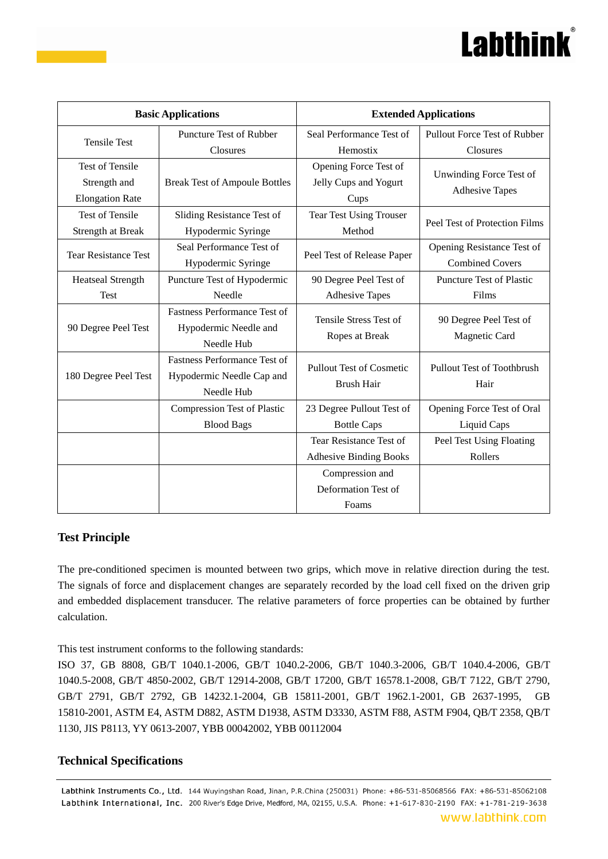# **Labthink**

| <b>Basic Applications</b>                                        |                                                                                | <b>Extended Applications</b>                             |                                                      |
|------------------------------------------------------------------|--------------------------------------------------------------------------------|----------------------------------------------------------|------------------------------------------------------|
| <b>Tensile Test</b>                                              | <b>Puncture Test of Rubber</b><br>Closures                                     | Seal Performance Test of<br>Hemostix                     | Pullout Force Test of Rubber<br>Closures             |
| <b>Test of Tensile</b><br>Strength and<br><b>Elongation Rate</b> | <b>Break Test of Ampoule Bottles</b>                                           | Opening Force Test of<br>Jelly Cups and Yogurt<br>Cups   | Unwinding Force Test of<br><b>Adhesive Tapes</b>     |
| <b>Test of Tensile</b><br>Strength at Break                      | Sliding Resistance Test of<br>Hypodermic Syringe                               | <b>Tear Test Using Trouser</b><br>Method                 | Peel Test of Protection Films                        |
| <b>Tear Resistance Test</b>                                      | Seal Performance Test of<br>Hypodermic Syringe                                 | Peel Test of Release Paper                               | Opening Resistance Test of<br><b>Combined Covers</b> |
| <b>Heatseal Strength</b><br>Test                                 | Puncture Test of Hypodermic<br>Needle                                          | 90 Degree Peel Test of<br><b>Adhesive Tapes</b>          | <b>Puncture Test of Plastic</b><br>Films             |
| 90 Degree Peel Test                                              | <b>Fastness Performance Test of</b><br>Hypodermic Needle and<br>Needle Hub     | Tensile Stress Test of<br>Ropes at Break                 | 90 Degree Peel Test of<br>Magnetic Card              |
| 180 Degree Peel Test                                             | <b>Fastness Performance Test of</b><br>Hypodermic Needle Cap and<br>Needle Hub | <b>Pullout Test of Cosmetic</b><br><b>Brush Hair</b>     | <b>Pullout Test of Toothbrush</b><br>Hair            |
|                                                                  | <b>Compression Test of Plastic</b><br><b>Blood Bags</b>                        | 23 Degree Pullout Test of<br><b>Bottle Caps</b>          | Opening Force Test of Oral<br>Liquid Caps            |
|                                                                  |                                                                                | Tear Resistance Test of<br><b>Adhesive Binding Books</b> | Peel Test Using Floating<br>Rollers                  |
|                                                                  |                                                                                | Compression and<br>Deformation Test of<br>Foams          |                                                      |

# **Test Principle**

The pre-conditioned specimen is mounted between two grips, which move in relative direction during the test. The signals of force and displacement changes are separately recorded by the load cell fixed on the driven grip and embedded displacement transducer. The relative parameters of force properties can be obtained by further calculation.

This test instrument conforms to the following standards:

ISO 37, GB 8808, GB/T 1040.1-2006, GB/T 1040.2-2006, GB/T 1040.3-2006, GB/T 1040.4-2006, GB/T 1040.5-2008, GB/T 4850-2002, GB/T 12914-2008, GB/T 17200, GB/T 16578.1-2008, GB/T 7122, GB/T 2790, GB/T 2791, GB/T 2792, GB 14232.1-2004, GB 15811-2001, GB/T 1962.1-2001, GB 2637-1995, GB 15810-2001, ASTM E4, ASTM D882, ASTM D1938, ASTM D3330, ASTM F88, ASTM F904, QB/T 2358, QB/T 1130, JIS P8113, YY 0613-2007, YBB 00042002, YBB 00112004

### **Technical Specifications**

Labthink Instruments Co., Ltd. 144 Wuyingshan Road, Jinan, P.R.China (250031) Phone: +86-531-85068566 FAX: +86-531-85062108 Labthink International, Inc. 200 River's Edge Drive, Medford, MA, 02155, U.S.A. Phone: +1-617-830-2190 FAX: +1-781-219-3638